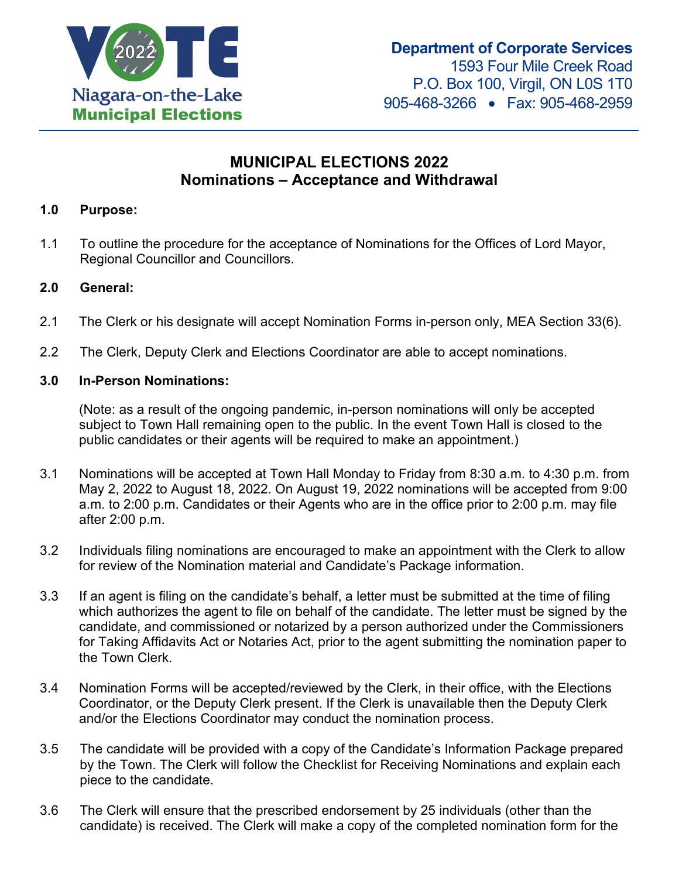

# **MUNICIPAL ELECTIONS 2022 Nominations – Acceptance and Withdrawal**

#### **1.0 Purpose:**

1.1 To outline the procedure for the acceptance of Nominations for the Offices of Lord Mayor, Regional Councillor and Councillors.

#### **2.0 General:**

- 2.1 The Clerk or his designate will accept Nomination Forms in-person only, MEA Section 33(6).
- 2.2 The Clerk, Deputy Clerk and Elections Coordinator are able to accept nominations.

#### **3.0 In-Person Nominations:**

(Note: as a result of the ongoing pandemic, in-person nominations will only be accepted subject to Town Hall remaining open to the public. In the event Town Hall is closed to the public candidates or their agents will be required to make an appointment.)

- 3.1 Nominations will be accepted at Town Hall Monday to Friday from 8:30 a.m. to 4:30 p.m. from May 2, 2022 to August 18, 2022. On August 19, 2022 nominations will be accepted from 9:00 a.m. to 2:00 p.m. Candidates or their Agents who are in the office prior to 2:00 p.m. may file after 2:00 p.m.
- 3.2 Individuals filing nominations are encouraged to make an appointment with the Clerk to allow for review of the Nomination material and Candidate's Package information.
- 3.3 If an agent is filing on the candidate's behalf, a letter must be submitted at the time of filing which authorizes the agent to file on behalf of the candidate. The letter must be signed by the candidate, and commissioned or notarized by a person authorized under the Commissioners for Taking Affidavits Act or Notaries Act, prior to the agent submitting the nomination paper to the Town Clerk.
- 3.4 Nomination Forms will be accepted/reviewed by the Clerk, in their office, with the Elections Coordinator, or the Deputy Clerk present. If the Clerk is unavailable then the Deputy Clerk and/or the Elections Coordinator may conduct the nomination process.
- 3.5 The candidate will be provided with a copy of the Candidate's Information Package prepared by the Town. The Clerk will follow the Checklist for Receiving Nominations and explain each piece to the candidate.
- 3.6 The Clerk will ensure that the prescribed endorsement by 25 individuals (other than the candidate) is received. The Clerk will make a copy of the completed nomination form for the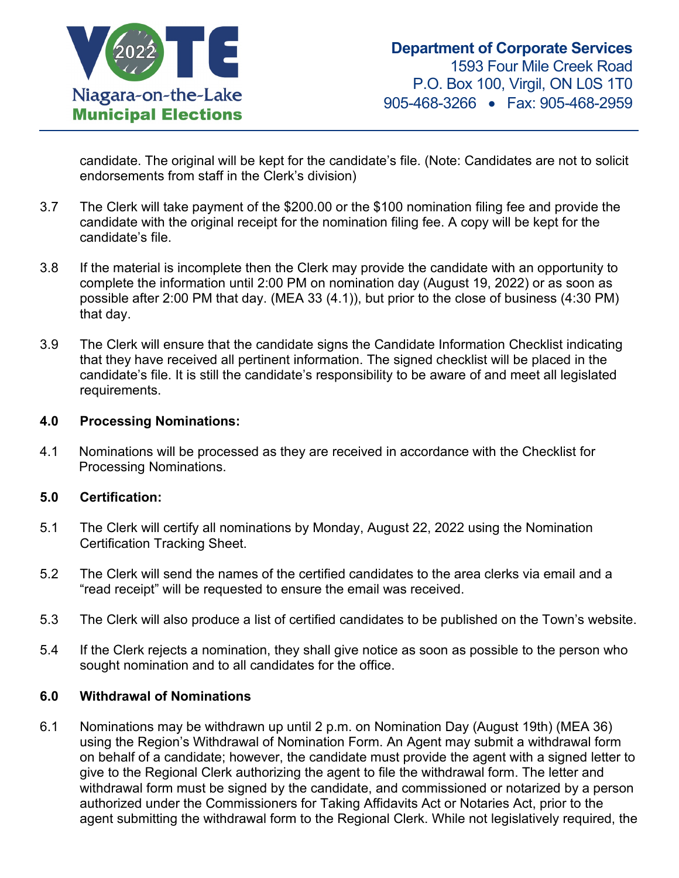

candidate. The original will be kept for the candidate's file. (Note: Candidates are not to solicit endorsements from staff in the Clerk's division)

- 3.7 The Clerk will take payment of the \$200.00 or the \$100 nomination filing fee and provide the candidate with the original receipt for the nomination filing fee. A copy will be kept for the candidate's file.
- 3.8 If the material is incomplete then the Clerk may provide the candidate with an opportunity to complete the information until 2:00 PM on nomination day (August 19, 2022) or as soon as possible after 2:00 PM that day. (MEA 33 (4.1)), but prior to the close of business (4:30 PM) that day.
- 3.9 The Clerk will ensure that the candidate signs the Candidate Information Checklist indicating that they have received all pertinent information. The signed checklist will be placed in the candidate's file. It is still the candidate's responsibility to be aware of and meet all legislated requirements.

#### **4.0 Processing Nominations:**

4.1 Nominations will be processed as they are received in accordance with the Checklist for Processing Nominations.

#### **5.0 Certification:**

- 5.1 The Clerk will certify all nominations by Monday, August 22, 2022 using the Nomination Certification Tracking Sheet.
- 5.2 The Clerk will send the names of the certified candidates to the area clerks via email and a "read receipt" will be requested to ensure the email was received.
- 5.3 The Clerk will also produce a list of certified candidates to be published on the Town's website.
- 5.4 If the Clerk rejects a nomination, they shall give notice as soon as possible to the person who sought nomination and to all candidates for the office.

#### **6.0 Withdrawal of Nominations**

6.1 Nominations may be withdrawn up until 2 p.m. on Nomination Day (August 19th) (MEA 36) using the Region's Withdrawal of Nomination Form. An Agent may submit a withdrawal form on behalf of a candidate; however, the candidate must provide the agent with a signed letter to give to the Regional Clerk authorizing the agent to file the withdrawal form. The letter and withdrawal form must be signed by the candidate, and commissioned or notarized by a person authorized under the Commissioners for Taking Affidavits Act or Notaries Act, prior to the agent submitting the withdrawal form to the Regional Clerk. While not legislatively required, the